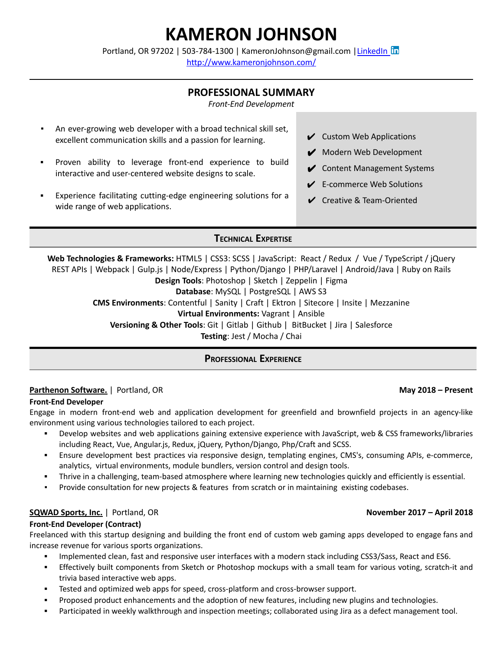# **KAMERON JOHNSON**

Portland, OR 97202 | 503-784-1300 | KameronJohnson@gmail.com | [LinkedIn](https://www.linkedin.com/in/kameronjohnson/) In

<http://www.kameronjohnson.com/>

# **PROFESSIONAL SUMMARY**

*Front-End Development*

- An ever-growing web developer with a broad technical skill set, excellent communication skills and a passion for learning.
- Proven ability to leverage front-end experience to build interactive and user-centered website designs to scale.
- Experience facilitating cutting-edge engineering solutions for a wide range of web applications.

**TECHNICAL EXPERTISE**

**Web Technologies & Frameworks:** HTML5 | CSS3: SCSS | JavaScript: React / Redux / Vue / TypeScript / jQuery REST APIs | Webpack | Gulp.js | Node/Express | Python/Django | PHP/Laravel | Android/Java | Ruby on Rails **Design Tools**: Photoshop | Sketch | Zeppelin | Figma **Database**: MySQL | PostgreSQL | AWS S3 **CMS Environments**: Contentful | Sanity | Craft | Ektron | Sitecore | Insite | Mezzanine **Virtual Environments:** Vagrant | Ansible **Versioning & Other Tools**: Git | Gitlab | Github | BitBucket | Jira | Salesforce **Testing**: Jest / Mocha / Chai

# **PROFESSIONAL EXPERIENCE**

# **Parthenon Software.** | Portland, OR **May 2018 – Present**

### **Front-End Developer**

Engage in modern front-end web and application development for greenfield and brownfield projects in an agency-like environment using various technologies tailored to each project.

- Develop websites and web applications gaining extensive experience with JavaScript, web & CSS frameworks/libraries including React, Vue, Angular.js, Redux, jQuery, Python/Django, Php/Craft and SCSS.
- Ensure development best practices via responsive design, templating engines, CMS's, consuming APIs, e-commerce, analytics, virtual environments, module bundlers, version control and design tools.
- Thrive in a challenging, team-based atmosphere where learning new technologies quickly and efficiently is essential.
- Provide consultation for new projects & features from scratch or in maintaining existing codebases.

# **SQWAD Sports, Inc.** | Portland, OR **November 2017 – April 2018**

#### **Front-End Developer (Contract)**

Freelanced with this startup designing and building the front end of custom web gaming apps developed to engage fans and increase revenue for various sports organizations.

- Implemented clean, fast and responsive user interfaces with a modern stack including CSS3/Sass, React and ES6.
- Effectively built components from Sketch or Photoshop mockups with a small team for various voting, scratch-it and trivia based interactive web apps.
- Tested and optimized web apps for speed, cross-platform and cross-browser support.
- Proposed product enhancements and the adoption of new features, including new plugins and technologies.
- Participated in weekly walkthrough and inspection meetings; collaborated using Jira as a defect management tool.

# $\vee$  Custom Web Applications

- ◆ Modern Web Development
- $\mathcal V$  Content Management Systems
- $\angle$  E-commerce Web Solutions
- $\vee$  Creative & Team-Oriented